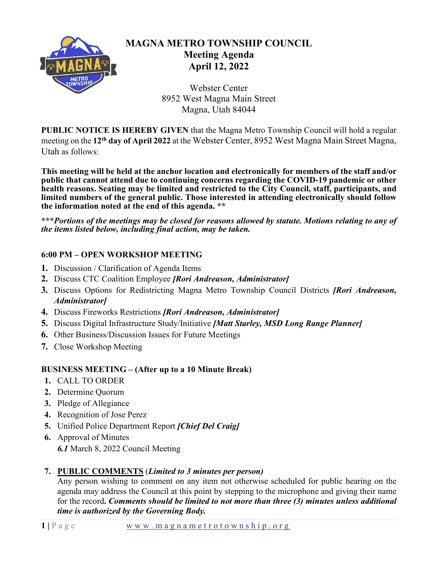

# **MAGNA METRO TOWNSHIP COUNCIL Meeting Agenda April 12, 2022**

Webster Center 8952 West Magna Main Street Magna, Utah 84044

**PUBLIC NOTICE IS HEREBY GIVEN** that the Magna Metro Township Council will hold a regular meeting on the **12th day of April 2022** at the Webster Center, 8952 West Magna Main Street Magna, Utah as follows:

**This meeting will be held at the anchor location and electronically for members of the staff and/or public that cannot attend due to continuing concerns regarding the COVID-19 pandemic or other health reasons. Seating may be limited and restricted to the City Council, staff, participants, and limited numbers of the general public. Those interested in attending electronically should follow the information noted at the end of this agenda. \*\***

**\*\*\****Portions of the meetings may be closed for reasons allowed by statute. Motions relating to any of the items listed below, including final action, may be taken.*

# **6:00 PM – OPEN WORKSHOP MEETING**

- **1.** Discussion / Clarification of Agenda Items
- **2.** Discuss CTC Coalition Employee *[Rori Andreason, Administrator]*
- **3.** Discuss Options for Redistricting Magna Metro Township Council Districts *[Rori Andreason, Administrator]*
- **4.** Discuss Fireworks Restrictions *[Rori Andreason, Administrator]*
- **5.** Discuss Digital Infrastructure Study/Initiative *[Matt Starley, MSD Long Range Planner]*
- **6.** Other Business/Discussion Issues for Future Meetings
- **7.** Close Workshop Meeting

# **BUSINESS MEETING – (After up to a 10 Minute Break)**

- **1.** CALL TO ORDER
- **2.** Determine Quorum
- **3.** Pledge of Allegiance
- **4.** Recognition of Jose Perez
- **5.** Unified Police Department Report *[Chief Del Craig]*
- **6.** Approval of Minutes
	- *6.1* March 8, 2022 Council Meeting
- **7. PUBLIC COMMENTS** (*Limited to 3 minutes per person)*

Any person wishing to comment on any item not otherwise scheduled for public hearing on the agenda may address the Council at this point by stepping to the microphone and giving their name for the record**.** *Comments should be limited to not more than three (3) minutes unless additional time is authorized by the Governing Body.*